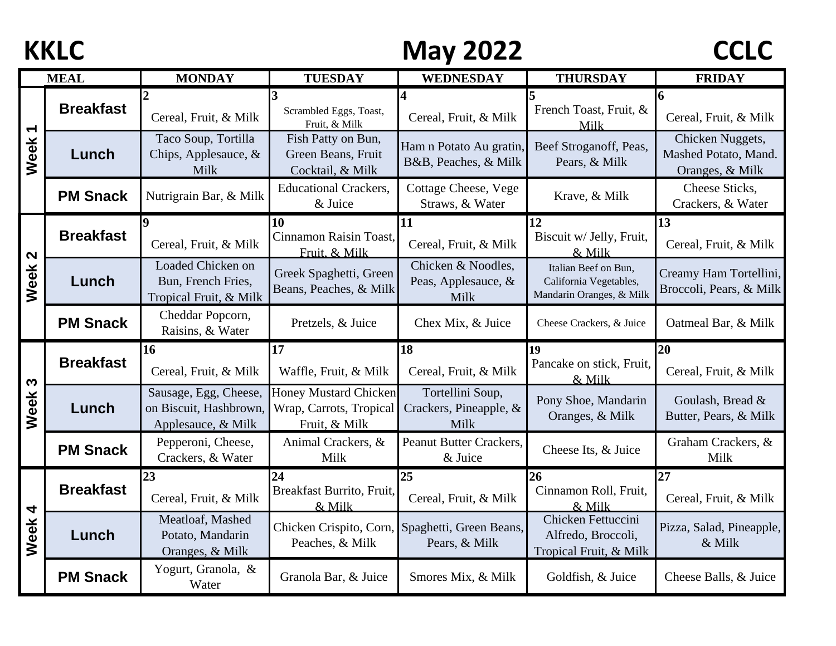## **KKLC** CCLC May 2022 CCLC

|                              | <b>MEAL</b>      | <b>MONDAY</b>                                                         | <b>TUESDAY</b>                                                           | WEDNESDAY                                          | <b>THURSDAY</b>                                                            | <b>FRIDAY</b>                                               |
|------------------------------|------------------|-----------------------------------------------------------------------|--------------------------------------------------------------------------|----------------------------------------------------|----------------------------------------------------------------------------|-------------------------------------------------------------|
| $\blacktriangledown$<br>Week | <b>Breakfast</b> | Cereal, Fruit, & Milk                                                 | Scrambled Eggs, Toast,<br>Fruit, & Milk                                  | Cereal, Fruit, & Milk                              | French Toast, Fruit, &<br>Milk                                             | 6<br>Cereal, Fruit, & Milk                                  |
|                              | Lunch            | Taco Soup, Tortilla<br>Chips, Applesauce, &<br>Milk                   | Fish Patty on Bun,<br>Green Beans, Fruit<br>Cocktail, & Milk             | Ham n Potato Au gratin,<br>B&B, Peaches, & Milk    | Beef Stroganoff, Peas,<br>Pears, & Milk                                    | Chicken Nuggets,<br>Mashed Potato, Mand.<br>Oranges, & Milk |
|                              | <b>PM Snack</b>  | Nutrigrain Bar, & Milk                                                | <b>Educational Crackers,</b><br>& Juice                                  | Cottage Cheese, Vege<br>Straws, & Water            | Krave, & Milk                                                              | Cheese Sticks,<br>Crackers, & Water                         |
| $\mathbf{\Omega}$<br>Week    | <b>Breakfast</b> | Cereal, Fruit, & Milk                                                 | 10<br>Cinnamon Raisin Toast,<br>Fruit. & Milk                            | 11<br>Cereal, Fruit, & Milk                        | 12<br>Biscuit w/ Jelly, Fruit,<br>& Milk                                   | 13<br>Cereal, Fruit, & Milk                                 |
|                              | Lunch            | Loaded Chicken on<br>Bun, French Fries,<br>Tropical Fruit, & Milk     | Greek Spaghetti, Green<br>Beans, Peaches, & Milk                         | Chicken & Noodles,<br>Peas, Applesauce, &<br>Milk  | Italian Beef on Bun,<br>California Vegetables,<br>Mandarin Oranges, & Milk | Creamy Ham Tortellini,<br>Broccoli, Pears, & Milk           |
|                              | <b>PM Snack</b>  | Cheddar Popcorn,<br>Raisins, & Water                                  | Pretzels, & Juice                                                        | Chex Mix, & Juice                                  | Cheese Crackers, & Juice                                                   | Oatmeal Bar, & Milk                                         |
| S<br>Week                    | <b>Breakfast</b> | 16<br>Cereal, Fruit, & Milk                                           | 17<br>Waffle, Fruit, & Milk                                              | 18<br>Cereal, Fruit, & Milk                        | 19<br>Pancake on stick, Fruit,<br>& Milk                                   | 20<br>Cereal, Fruit, & Milk                                 |
|                              | Lunch            | Sausage, Egg, Cheese,<br>on Biscuit, Hashbrown,<br>Applesauce, & Milk | <b>Honey Mustard Chicken</b><br>Wrap, Carrots, Tropical<br>Fruit, & Milk | Tortellini Soup,<br>Crackers, Pineapple, &<br>Milk | Pony Shoe, Mandarin<br>Oranges, & Milk                                     | Goulash, Bread &<br>Butter, Pears, & Milk                   |
|                              | <b>PM Snack</b>  | Pepperoni, Cheese,<br>Crackers, & Water                               | Animal Crackers, &<br>Milk                                               | <b>Peanut Butter Crackers,</b><br>& Juice          | Cheese Its, & Juice                                                        | Graham Crackers, &<br>Milk                                  |
| 4<br>Week                    | <b>Breakfast</b> | 23<br>Cereal, Fruit, & Milk                                           | 24<br>Breakfast Burrito, Fruit,<br>& Milk                                | 25<br>Cereal, Fruit, & Milk                        | 26<br>Cinnamon Roll, Fruit,<br>& Milk                                      | 27<br>Cereal, Fruit, & Milk                                 |
|                              | Lunch            | Meatloaf, Mashed<br>Potato, Mandarin<br>Oranges, & Milk               | Chicken Crispito, Corn,<br>Peaches, & Milk                               | Spaghetti, Green Beans,<br>Pears, & Milk           | Chicken Fettuccini<br>Alfredo, Broccoli,<br>Tropical Fruit, & Milk         | Pizza, Salad, Pineapple,<br>& Milk                          |
|                              | <b>PM Snack</b>  | Yogurt, Granola, &<br>Water                                           | Granola Bar, & Juice                                                     | Smores Mix, & Milk                                 | Goldfish, & Juice                                                          | Cheese Balls, & Juice                                       |